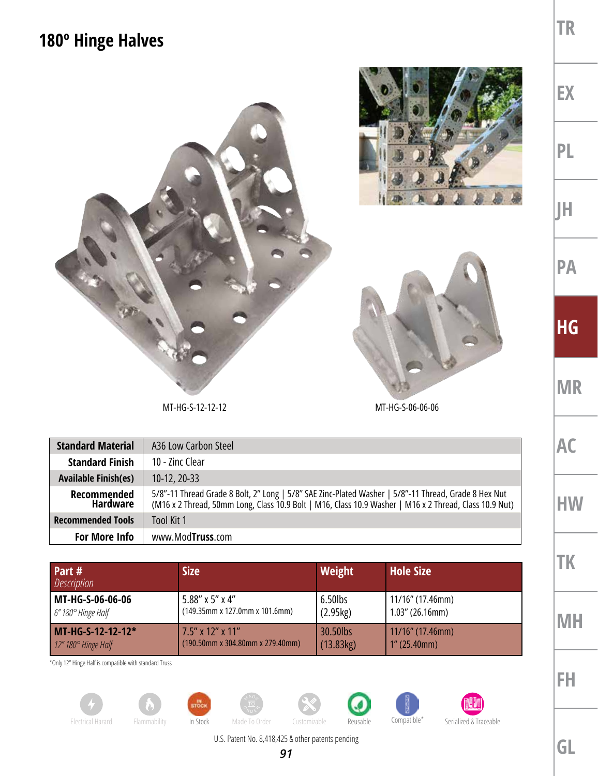## **180º Hinge Halves**



| <b>Standard Material</b>       | A36 Low Carbon Steel                                                                                                                                                                                           |
|--------------------------------|----------------------------------------------------------------------------------------------------------------------------------------------------------------------------------------------------------------|
| <b>Standard Finish</b>         | 10 - Zinc Clear                                                                                                                                                                                                |
| <b>Available Finish(es)</b>    | $10-12, 20-33$                                                                                                                                                                                                 |
| Recommended<br><b>Hardware</b> | 5/8"-11 Thread Grade 8 Bolt, 2" Long   5/8" SAE Zinc-Plated Washer   5/8"-11 Thread, Grade 8 Hex Nut<br>(M16 x 2 Thread, 50mm Long, Class 10.9 Bolt   M16, Class 10.9 Washer   M16 x 2 Thread, Class 10.9 Nut) |
| <b>Recommended Tools</b>       | Tool Kit 1                                                                                                                                                                                                     |
| For More Info                  | www.ModTruss.com                                                                                                                                                                                               |

| Part #<br><i>Description</i>     | <b>Size</b>                         | Weight    | <b>Hole Size</b>    |
|----------------------------------|-------------------------------------|-----------|---------------------|
| MT-HG-S-06-06-06                 | 5.88" x 5" x 4"                     | 6.50lbs   | 11/16" (17.46mm)    |
| 6" 180° Hinge Half               | (149.35mm x 127.0mm x 101.6mm)      | (2.95kg)  | $1.03''$ (26.16mm)  |
| MT-HG-S-12-12-12*                | 7.5" x 12" x 11"                    | 30.50lbs  | $11/16$ " (17.46mm) |
| $12''$ 180 $^{\circ}$ Hinge Half | $(190.50$ mm x 304.80mm x 279.40mm) | (13.83kg) | $1''$ (25.40mm)     |

\*Only 12" Hinge Half is compatible with standard Truss







U.S. Patent No. 8,418,425 & other patents pending

**GL**

**AC**

**HW**

**TK**

**MH**

**FH**

**TR**